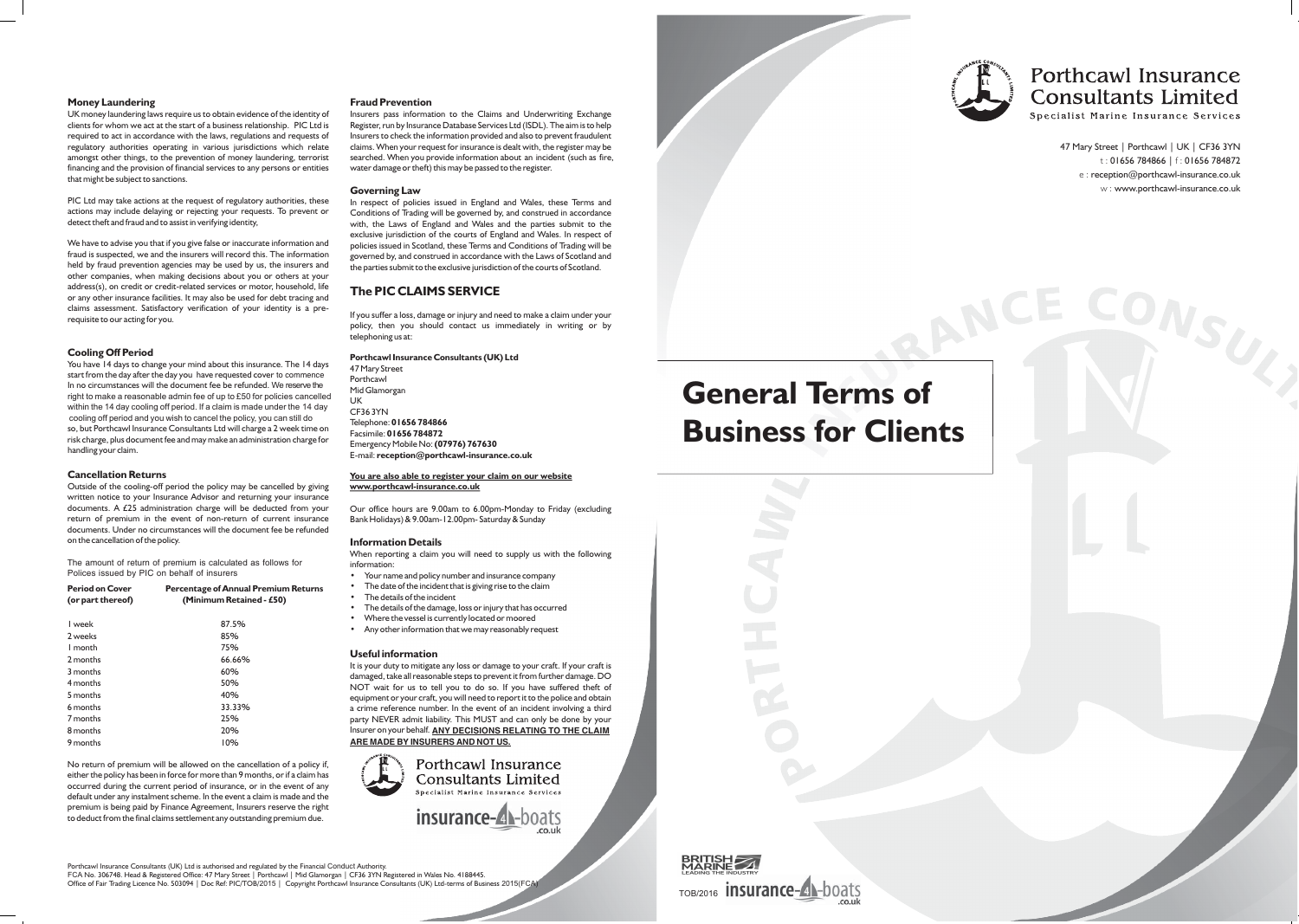

RANC

# **Porthcawl Insurance Consultants Limited**<br>Specialist Marine Insurance Services

47 Mary Street | Porthcawl | UK | CF36 3YN t : 01656 784866 | f : 01656 784872 e : reception@porthcawl-insurance.co.uk w : www.porthcawl-insurance.co.uk

ONSUZ

# **Business for Clients General Terms of**

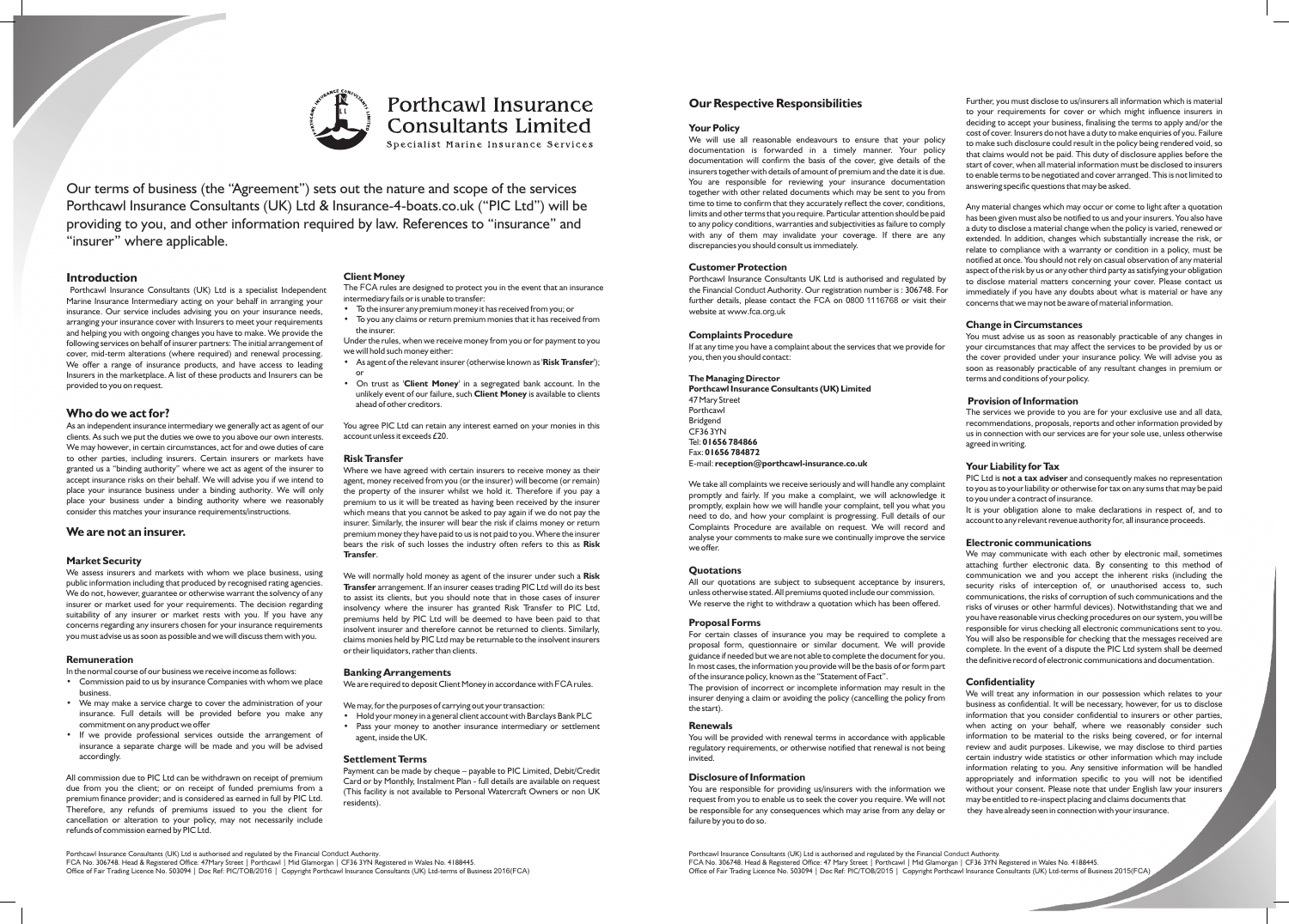

# **Porthcawl Insurance Consultants Limited**

Specialist Marine Insurance Services

Our terms of business (the "Agreement") sets out the nature and scope of the services Porthcawl Insurance Consultants (UK) Ltd & Insurance-4-boats.co.uk ("PIC Ltd") will be providing to you, and other information required by law. References to "insurance" and "insurer" where applicable.

Porthcawl Insurance Consultants (UK) Ltd is a specialist Independent The FCA rules are designed to protect your<br>Marine Insurance Intermediary acting on your behalf in arranging your intermediary fails or is unable to trans Marine Insurance Intermediary acting on your behalf in arranging your intermediary fails or is unable to transfer:<br>insurance. Our service includes advising you on your insurance needs.<br>Distribution on your any premium mone insurance. Our service includes advising you on your insurance needs,<br>International contract from the insurance for most your requirements of the insurer any premium money it has received from a proportion of the insurance arranging your insurance cover with Insurers to meet your requirements  $\cdot$  To you any can be have received from monies that it has received from the insurer. and helping you with ongoing changes you have to make. We provide the the insurer.<br>
following services on behalf of insurer partners: The initial arrangement of Under the rules, when we receive money from you or for paymen cover, mid-term alterations (where required) and renewal processing. We will hold such money either:<br>We offer a range of insurance products, and have access to leading **Communish to the relevant insurer (otherwise known as** We offer a range of insurance products, and have access to leading <br>Insurers in the marketplace. A list of these products and Insurers can be<br>provided to you on request. In the<br>provided to you on request.

# **Who do we act for?**

As an independent insurance intermediary we generally act as agent of our clients. As such we put the duties we owe to you above our own interests. We may however, in certain circumstances, act for and owe duties of care to other parties, including insurers. Certain insurers or markets have granted us a "binding authority" where we act as agent of the insurer to accept insurance risks on their behalf. We will advise you if we intend to place your insurance business under a binding authority. We will only place your business under a binding authority where we reasonably consider this matches your insurance requirements/instructions.

# **Transfer**. **Market Security**

We assess insurers and markets with whom we place business, using We will normally hold money as agent of the insurer under such a **Risk** public information including that produced by recognised rating agencies. **Transform** 

**Remuneration**<br>In the normal course of our business we receive income as follows:

- the normal course of our business we receive income as follows:<br>Commission paid to us by insurance Companies with whom we place We are required to deposit Client Money in accordance with FCA rules. business.
- We may make a service charge to cover the administration of your We may, for the purposes of carrying out your transaction:<br>insurance. Full details will be provided before you make any Hold your money in a general client insurance. Full details will be provided before you make any • Hold your money in a general client account with Barclays Bank PLC
- insurance a separate charge will be made and you will be advised accordingly. **Settlement Terms**

All commission due to PIC Ltd can be withdrawn on receipt of premium<br>due from you the client; or on receipt of funded premiums from a<br>premium finance provider; and is considered as earned in full by PIC Ltd.<br>Therefore, any cancellation or alteration to your policy, may not necessarily include refunds of commission earned by PIC Ltd.

**Introduction**<br>**Porthcawl Insurance Consultants (UK)** Ltd is a specialist Independent The FCA rules are designed to protect you in the event that an insurance

- 
- 

- 
- unlikely event of our failure, such **Client Money** is available to clients ahead of other creditors.

You agree PIC Ltd can retain any interest earned on your monies in this account unless it exceeds £20.

# **Risk Transfer**

Where we have agreed with certain insurers to receive money as their agent, money received from you (or the insurer) will become (or remain) the property of the insurer whilst we hold it. Therefore if you pay a premium to us it will be treated as having been received by the insurer which means that you cannot be asked to pay again if we do not pay the insurer. Similarly, the insurer will bear the risk if claims money or return **We are not an insurer. promium money they have paid to us is not paid to you. Where the insurer** bears the risk of such losses the industry often refers to this as **Risk** 

public information including that produced by recognised rating agencies.<br>
We do not, however, guarantee or otherwise warrant the solvency of any<br>
insurer or market used for your requirements. The decision regarding<br>
insul or their liquidators, rather than clients.

- 
- commitment on any product we offer Pass your money to another insurance intermediary or settlement<br>If we provide professional services outside the arrangement of agent, inside the UK.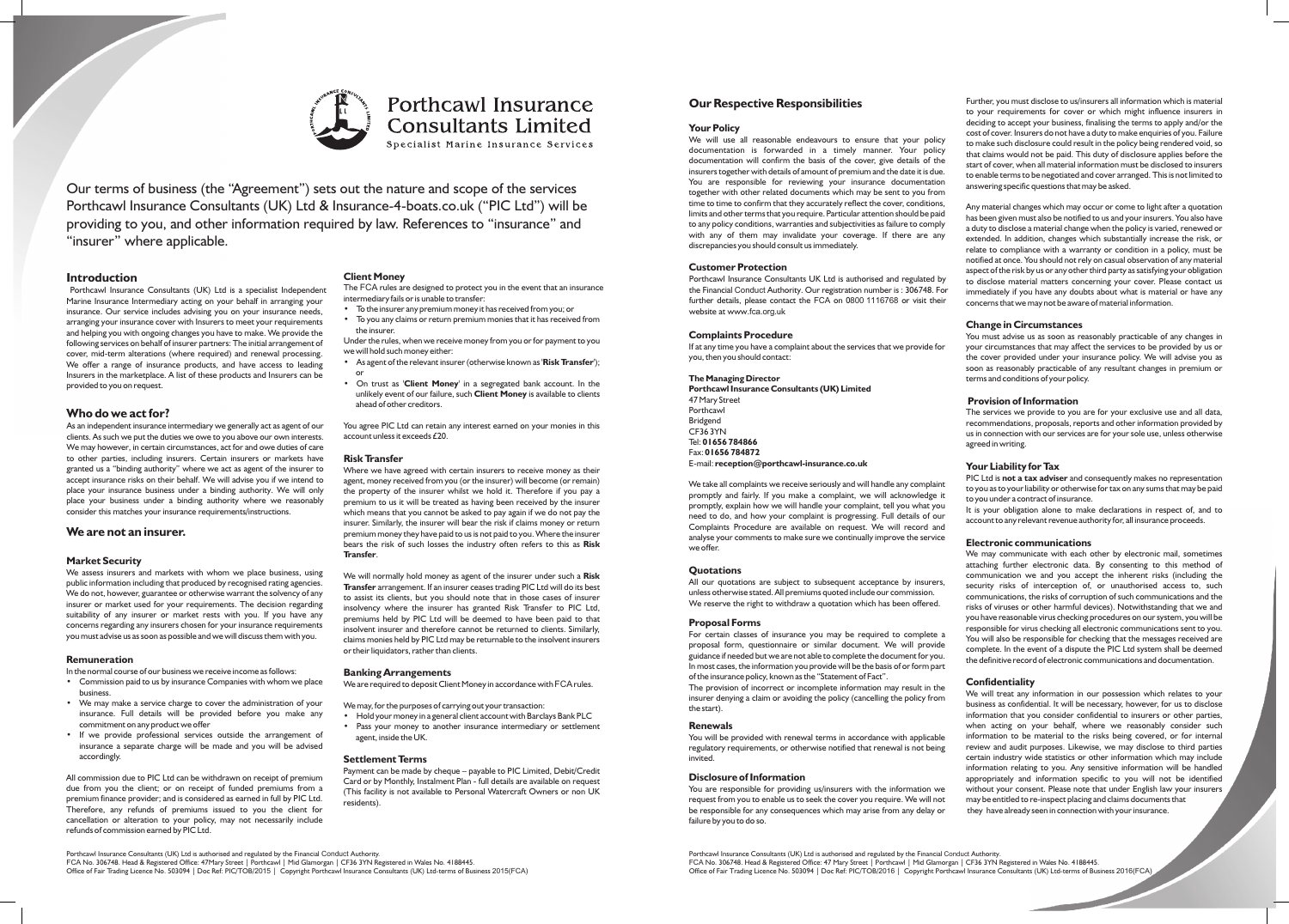documentation will confirm the basis of the cover, give details of the<br>
insurers together with details of amount of premium and the date it is due.<br>
You are responsible for reviewing your insurance documentation<br>
to enable time to time to confirm that they accurately reflect the cover, conditions,<br>
limits and other terms that you require. Particular attention should be paid<br>
to any policy conditions, warranties and subjectivities as failure

Porthcawl Insurance Consultants UK Ltd is authorised and regulated by the Financial Conduct Authority. Our registration number is : 306748. For further details, please contact the FCA on 0800 1116768 or visit their website at www.fca.org.uk

**Porthcawl Insurance Consultants (UK) Limited** 47 Mary Street **Provision of Information** Fax: **01656 784872**

We take all complaints we receive seriously and will handle any complaint<br>promptly and fairly. If you make a complaint, we will acknowledge it<br>promptly, explain how we will handle your complaint, tell you what you<br>promptly analyse your comments to make sure we continually improve the service<br>We may communicate with each other by electronic mail, sometimes<br>We may communicate with each other by electronic mail, sometimes

We reserve the right to withdraw a quotation which has been offered.

proposal form, questionnaire or similar document. We will provide complete. In the event of a dispute the PIC Ltd system shall be deemed guidance if needed but we are not able to complete the document for you. In most cases, the information you provide will be the basis of or form part of the insurance policy, known as the "Statement of Fact".

The provision of incorrect or incomplete information act.<br>The provision of incorrect or incomplete information may result in the **Confidentiality**<br>incurse densing a claim or avoiding the policy (cancelling the policy from insurer denying a claim or avoiding the policy (cancelling the policy from

invited. certain industry wide statistics or other information which may include

request from you to enable us to seek the cover you require. We will not may be entitled to re-inspect placing and claims documents that be responsible for any consequences which may arise from any delay or they have already seen in connection with your insurance. failure by you to do so.

**Our Respective Responsibilities** Further, you must disclose to us/insurers all information which is material to your requirements for cover or which might influence insurers in **Your Policy**<br>
We will use all reasonable endeavours to ensure that your policy<br>
documentation is forwarded in a timely manner. Your policy<br>
documentation is forwarded in a timely manner. Your policy<br>
documentation will co

notified at once. You should not rely on casual observation of any material<br>aspect of the risk by us or any other third party as satisfying your obligation to disclose material matters concerning your cover. Please contact us immediately if you have any doubts about what is material or have any concerns that we may not be aware of material information.

# **Change in Circumstances**

**Complaints Procedure** You must advise us as soon as reasonably practicable of any changes in<br>If at any time you have a complaint about the services that we provide for your circumstances that may affect the services to be If at any time you have a complaint about the services that we provide for your circumstances that may affect the services to be provided by us or the cover provided under your insurance policy. We will advise you as soon as reasonably practicable of any resultant changes in premium or **The Managing Director** terms and conditions of your policy.

Porthcawl<br>Bridgend Bridgend Bridgend Bridgend and the services we provide to you are for your exclusive use and all data,<br>Precommendations, proposals, reports and other information provided by Bridgend<br>CF36 3YN CF36 3YN CF36 3YN us in connection with our services are for your sole use, unless otherwise agreed in writing.

E-mail: **reception@porthcawl-insurance.co.uk**<br>
PIC Ltd is **not a tax adviser** and consequently makes no representation

**Quotations**<br> **Quotations** are subject to subsequent acceptance by insurers,<br>
all our quotations are subject to subsequent acceptance by insurers,<br>
unless otherwise stated. All premiums quoted include our commission.<br>
unle risks of viruses or other harmful devices). Notwithstanding that we and **Proposal Forms**<br> **Proposal Forms** you will be responsible for virus checking all electronic communications sent to you. For certain classes of insurance you may be required to complete a responsible for virus checking an electronic communications sent to you. the definitive record of electronic communications and documentation.

the start). Business as confidential. It will be necessary, however, for us to disclose the start). information that you consider confidential to insurers or other parties, when acting on your behalf, where we reasonably consider such<br>You will be provided with renewal terms in accordance with applicable information to be material to the risks being covered, or for internal information to be material to the risks being covered, or for internal regulatory requirements, or otherwise notified that renewal is not being review and audit purposes. Likewise, we may disclose to third parties information relating to you. Any sensitive information will be handled **Disclosure of Information appropriately and information** specific to you will not be identified You are responsible for providing us/insurers with the information we without your consent. Please note that under English law your insurers

Porthcawl Insurance Consultants (UK) Ltd is authorised and regulated by the Financial Conduct Authority. FCA No. 306748. Head & Registered Office: 47 Mary Street | Porthcawl | Mid Glamorgan | CF36 3YN Registered in Wales No. 4188445. Office of Fair Trading Licence No. 503094 | Doc Ref: PIC/TOB/2016 | Copyright Porthcawl Insurance Consultants (UK) Ltd-terms of Business 2016(FCA)